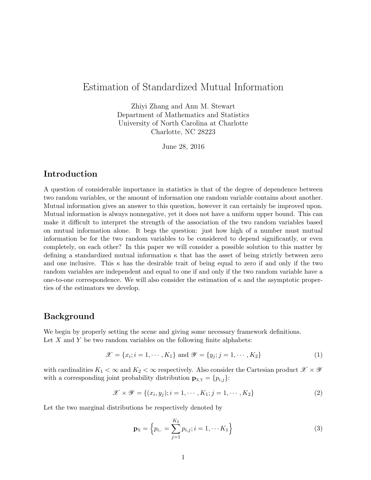# Estimation of Standardized Mutual Information

Zhiyi Zhang and Ann M. Stewart Department of Mathematics and Statistics University of North Carolina at Charlotte Charlotte, NC 28223

June 28, 2016

## Introduction

A question of considerable importance in statistics is that of the degree of dependence between two random variables, or the amount of information one random variable contains about another. Mutual information gives an answer to this question, however it can certainly be improved upon. Mutual information is always nonnegative, yet it does not have a uniform upper bound. This can make it difficult to interpret the strength of the association of the two random variables based on mutual information alone. It begs the question: just how high of a number must mutual information be for the two random variables to be considered to depend significantly, or even completely, on each other? In this paper we will consider a possible solution to this matter by defining a standardized mutual information  $\kappa$  that has the asset of being strictly between zero and one inclusive. This  $\kappa$  has the desirable trait of being equal to zero if and only if the two random variables are independent and equal to one if and only if the two random variable have a one-to-one correspondence. We will also consider the estimation of  $\kappa$  and the asymptotic properties of the estimators we develop.

#### Background

We begin by properly setting the scene and giving some necessary framework definitions. Let  $X$  and  $Y$  be two random variables on the following finite alphabets:

$$
\mathcal{X} = \{x_i; i = 1, \cdots, K_1\} \text{ and } \mathcal{Y} = \{y_j; j = 1, \cdots, K_2\}
$$
 (1)

with cardinalities  $K_1 < \infty$  and  $K_2 < \infty$  respectively. Also consider the Cartesian product  $\mathscr{X} \times \mathscr{Y}$ with a corresponding joint probability distribution  $\mathbf{p}_{X,Y} = \{p_{i,j}\}\$ :

$$
\mathcal{X} \times \mathcal{Y} = \{(x_i, y_j); i = 1, \cdots, K_1; j = 1, \cdots, K_2\}
$$
\n
$$
(2)
$$

Let the two marginal distributions be respectively denoted by

$$
\mathbf{p}_{X} = \left\{ p_{i, \cdot} = \sum_{j=1}^{K_{2}} p_{i, j}; i = 1, \cdots K_{1} \right\}
$$
 (3)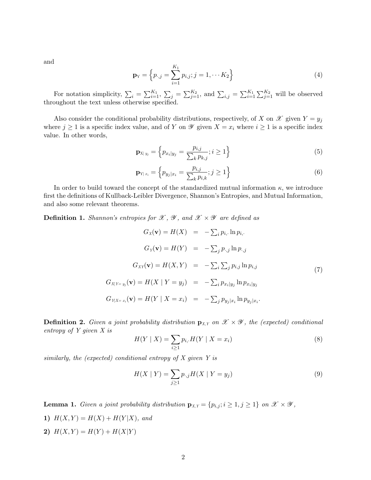and

$$
\mathbf{p}_{Y} = \left\{ p_{\cdot,j} = \sum_{i=1}^{K_{1}} p_{i,j}; j = 1, \cdots K_{2} \right\}
$$
 (4)

For notation simplicity,  $\sum_i = \sum_{i=1}^{K_1}, \sum_j = \sum_{j=1}^{K_2}$ , and  $\sum_{i,j} = \sum_{i=1}^{K_1} \sum_{j=1}^{K_2}$  will be observed throughout the text unless otherwise specified.

Also consider the conditional probability distributions, respectively, of X on  $\mathscr X$  given  $Y = y_j$ where  $j \ge 1$  is a specific index value, and of Y on  $\mathscr Y$  given  $X = x_i$  where  $i \ge 1$  is a specific index value. In other words,

$$
\mathbf{p}_{X|y_j} = \left\{ p_{x_i|y_j} = \frac{p_{i,j}}{\sum_k p_{k,j}}; i \ge 1 \right\}
$$
 (5)

$$
\mathbf{p}_{Y|x_i} = \left\{ p_{y_j|x_i} = \frac{p_{i,j}}{\sum_k p_{i,k}}; j \ge 1 \right\} \tag{6}
$$

In order to build toward the concept of the standardized mutual information  $\kappa$ , we introduce first the definitions of Kullback-Leibler Divergence, Shannon's Entropies, and Mutual Information, and also some relevant theorems.

**Definition 1.** Shannon's entropies for  $\mathscr{X}, \mathscr{Y},$  and  $\mathscr{X} \times \mathscr{Y}$  are defined as

$$
G_X(\mathbf{v}) = H(X) = -\sum_i p_{i, \cdot} \ln p_{i, \cdot}
$$
  
\n
$$
G_Y(\mathbf{v}) = H(Y) = -\sum_j p_{\cdot, j} \ln p_{\cdot, j}
$$
  
\n
$$
G_{XY}(\mathbf{v}) = H(X, Y) = -\sum_i \sum_j p_{i, j} \ln p_{i, j}
$$
  
\n
$$
G_{X|Y=y_j}(\mathbf{v}) = H(X | Y=y_j) = -\sum_i p_{x_i|y_j} \ln p_{x_i|y_j}
$$
  
\n
$$
G_{Y|X=x_i}(\mathbf{v}) = H(Y | X=x_i) = -\sum_j p_{y_j|x_i} \ln p_{y_j|x_i}.
$$
 (7)

**Definition 2.** Given a joint probability distribution  $\mathbf{p}_{X,Y}$  on  $\mathcal{X} \times \mathcal{Y}$ , the (expected) conditional entropy of Y given X is

$$
H(Y | X) = \sum_{i \ge 1} p_{i, \cdot} H(Y | X = x_i)
$$
\n(8)

similarly, the (expected) conditional entropy of X given Y is

$$
H(X | Y) = \sum_{j \ge 1} p_{\cdot,j} H(X | Y = y_j)
$$
\n(9)

**Lemma 1.** Given a joint probability distribution  $\mathbf{p}_{X,Y} = \{p_{i,j}; i \geq 1, j \geq 1\}$  on  $\mathcal{X} \times \mathcal{Y}$ ,

- 1)  $H(X, Y) = H(X) + H(Y|X)$ , and
- 2)  $H(X, Y) = H(Y) + H(X|Y)$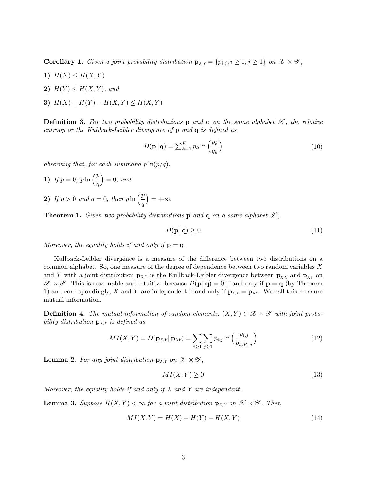**Corollary 1.** Given a joint probability distribution  $\mathbf{p}_{X,Y} = \{p_{i,j}; i \geq 1, j \geq 1\}$  on  $\mathcal{X} \times \mathcal{Y}$ ,

- 1)  $H(X) \le H(X, Y)$
- 2)  $H(Y) \leq H(X, Y)$ , and
- 3)  $H(X) + H(Y) H(X, Y) \leq H(X, Y)$

**Definition 3.** For two probability distributions **p** and **q** on the same alphabet  $\mathscr{X}$ , the relative entropy or the Kullback-Leibler divergence of  $\bf{p}$  and  $\bf{q}$  is defined as

$$
D(\mathbf{p}||\mathbf{q}) = \sum_{k=1}^{K} p_k \ln\left(\frac{p_k}{q_k}\right)
$$
\n(10)

observing that, for each summand  $p \ln(p/q)$ ,

- 1) If  $p = 0$ ,  $p \ln \left( \frac{p}{q} \right)$  $= 0, and$
- 2) If  $p > 0$  and  $q = 0$ , then  $p \ln \left( \frac{p}{q} \right)$  $= +\infty$ .

**Theorem 1.** Given two probability distributions **p** and **q** on a same alphabet  $\mathscr{X}$ ,

$$
D(\mathbf{p}||\mathbf{q}) \ge 0\tag{11}
$$

Moreover, the equality holds if and only if  $p = q$ .

Kullback-Leibler divergence is a measure of the difference between two distributions on a common alphabet. So, one measure of the degree of dependence between two random variables  $X$ and Y with a joint distribution  $\mathbf{p}_{X,Y}$  is the Kullback-Leibler divergence between  $\mathbf{p}_{X,Y}$  and  $\mathbf{p}_{XY}$  on  $\mathscr{X} \times \mathscr{Y}$ . This is reasonable and intuitive because  $D(\mathbf{p}||\mathbf{q}) = 0$  if and only if  $\mathbf{p} = \mathbf{q}$  (by Theorem 1) and correspondingly, X and Y are independent if and only if  $\mathbf{p}_{X,Y} = \mathbf{p}_{XY}$ . We call this measure mutual information.

**Definition 4.** The mutual information of random elements,  $(X, Y) \in \mathcal{X} \times \mathcal{Y}$  with joint probability distribution  $\mathbf{p}_{X,Y}$  is defined as

$$
MI(X,Y) = D(\mathbf{p}_{X,Y}||\mathbf{p}_{XY}) = \sum_{i \ge 1} \sum_{j \ge 1} p_{i,j} \ln \left( \frac{p_{i,j}}{p_{i,P,j}} \right)
$$
(12)

**Lemma 2.** For any joint distribution  $\mathbf{p}_{X,Y}$  on  $\mathscr{X} \times \mathscr{Y}$ ,

$$
MI(X,Y) \ge 0\tag{13}
$$

Moreover, the equality holds if and only if  $X$  and  $Y$  are independent.

**Lemma 3.** Suppose  $H(X, Y) < \infty$  for a joint distribution  $\mathbf{p}_{X,Y}$  on  $\mathscr{X} \times \mathscr{Y}$ . Then

$$
MI(X,Y) = H(X) + H(Y) - H(X,Y)
$$
\n(14)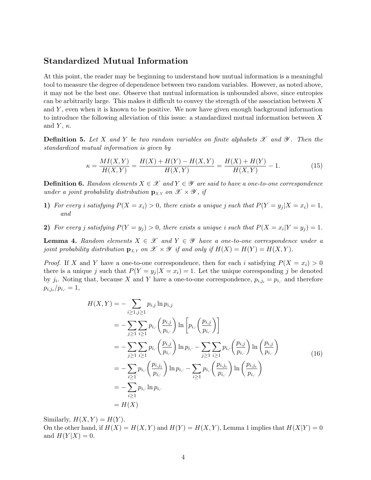## Standardized Mutual Information

At this point, the reader may be beginning to understand how mutual information is a meaningful tool to measure the degree of dependence between two random variables. However, as noted above, it may not be the best one. Observe that mutual information is unbounded above, since entropies can be arbitrarily large. This makes it difficult to convey the strength of the association between  $X$ and  $Y$ , even when it is known to be positive. We now have given enough background information to introduce the following alleviation of this issue: a standardized mutual information between X and  $Y, \kappa$ .

**Definition 5.** Let X and Y be two random variables on finite alphabets  $\mathcal{X}$  and  $\mathcal{Y}$ . Then the standardized mutual information is given by

$$
\kappa = \frac{MI(X,Y)}{H(X,Y)} = \frac{H(X) + H(Y) - H(X,Y)}{H(X,Y)} = \frac{H(X) + H(Y)}{H(X,Y)} - 1.
$$
\n(15)

**Definition 6.** Random elements  $X \in \mathcal{X}$  and  $Y \in \mathcal{Y}$  are said to have a one-to-one correspondence under a joint probability distribution  $\mathbf{p}_{X,Y}$  on  $\mathscr{X} \times \mathscr{Y}$ , if

- 1) For every i satisfying  $P(X = x_i) > 0$ , there exists a unique j such that  $P(Y = y_j | X = x_i) = 1$ , and
- 2) For every j satisfying  $P(Y = y_j) > 0$ , there exists a unique i such that  $P(X = x_i | Y = y_j) = 1$ .

**Lemma 4.** Random elements  $X \in \mathcal{X}$  and  $Y \in \mathcal{Y}$  have a one-to-one correspondence under a joint probability distribution  $\mathbf{p}_{X,Y}$  on  $\mathscr{X} \times \mathscr{Y}$  if and only if  $H(X) = H(Y) = H(X,Y)$ .

*Proof.* If X and Y have a one-to-one correspondence, then for each i satisfying  $P(X = x_i) > 0$ there is a unique j such that  $P(Y = y_i | X = x_i) = 1$ . Let the unique corresponding j be denoted by  $j_i$ . Noting that, because X and Y have a one-to-one correspondence,  $p_{i,j_i} = p_{i_i}$  and therefore  $p_{i,j_i}/p_{i,\cdot}=1,$ 

$$
H(X,Y) = -\sum_{i\geq 1, j\geq 1} p_{i,j} \ln p_{i,j}
$$
  
=  $-\sum_{j\geq 1} \sum_{i\geq 1} p_{i,\cdot} \left(\frac{p_{i,j}}{p_{i,\cdot}}\right) \ln \left[p_{i,\cdot} \left(\frac{p_{i,j}}{p_{i,\cdot}}\right)\right]$   
=  $-\sum_{j\geq 1} \sum_{i\geq 1} p_{i,\cdot} \left(\frac{p_{i,j}}{p_{i,\cdot}}\right) \ln p_{i,\cdot} - \sum_{j\geq 1} \sum_{i\geq 1} p_{i,\cdot} \left(\frac{p_{i,j}}{p_{i,\cdot}}\right) \ln \left(\frac{p_{i,j}}{p_{i,\cdot}}\right)$   
=  $-\sum_{i\geq 1} p_{i,\cdot} \left(\frac{p_{i,j_i}}{p_{i,\cdot}}\right) \ln p_{i,\cdot} - \sum_{i\geq 1} p_{i,\cdot} \left(\frac{p_{i,j_i}}{p_{i,\cdot}}\right) \ln \left(\frac{p_{i,j_i}}{p_{i,\cdot}}\right)$   
=  $-\sum_{i\geq 1} p_{i,\cdot} \ln p_{i,\cdot}$   
=  $H(X)$  (16)

Similarly,  $H(X, Y) = H(Y)$ .

On the other hand, if  $H(X) = H(X, Y)$  and  $H(Y) = H(X, Y)$ , Lemma 1 implies that  $H(X|Y) = 0$ and  $H(Y|X) = 0$ .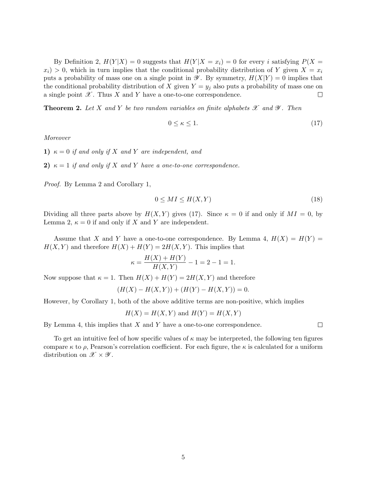By Definition 2,  $H(Y|X) = 0$  suggests that  $H(Y|X = x_i) = 0$  for every i satisfying  $P(X = x_i)$  $x_i$ ) > 0, which in turn implies that the conditional probability distribution of Y given  $X = x_i$ puts a probability of mass one on a single point in  $\mathscr Y$ . By symmetry,  $H(X|Y) = 0$  implies that the conditional probability distribution of X given  $Y = y_j$  also puts a probability of mass one on a single point  $\mathscr X$ . Thus X and Y have a one-to-one correspondence.  $\Box$ 

**Theorem 2.** Let X and Y be two random variables on finite alphabets  $\mathscr X$  and  $\mathscr Y$ . Then

$$
0 \le \kappa \le 1. \tag{17}
$$

Moreover

- 1)  $\kappa = 0$  if and only if X and Y are independent, and
- 2)  $\kappa = 1$  if and only if X and Y have a one-to-one correspondence.

Proof. By Lemma 2 and Corollary 1,

$$
0 \le MI \le H(X, Y) \tag{18}
$$

Dividing all three parts above by  $H(X, Y)$  gives (17). Since  $\kappa = 0$  if and only if  $MI = 0$ , by Lemma 2,  $\kappa = 0$  if and only if X and Y are independent.

Assume that X and Y have a one-to-one correspondence. By Lemma 4,  $H(X) = H(Y)$  $H(X, Y)$  and therefore  $H(X) + H(Y) = 2H(X, Y)$ . This implies that

$$
\kappa = \frac{H(X) + H(Y)}{H(X, Y)} - 1 = 2 - 1 = 1.
$$

Now suppose that  $\kappa = 1$ . Then  $H(X) + H(Y) = 2H(X, Y)$  and therefore

$$
(H(X) - H(X, Y)) + (H(Y) - H(X, Y)) = 0.
$$

However, by Corollary 1, both of the above additive terms are non-positive, which implies

$$
H(X) = H(X, Y) \text{ and } H(Y) = H(X, Y)
$$

By Lemma 4, this implies that  $X$  and  $Y$  have a one-to-one correspondence.

To get an intuitive feel of how specific values of  $\kappa$  may be interpreted, the following ten figures compare  $\kappa$  to  $\rho$ , Pearson's correlation coefficient. For each figure, the  $\kappa$  is calculated for a uniform distribution on  $\mathscr{X} \times \mathscr{Y}$ .

 $\Box$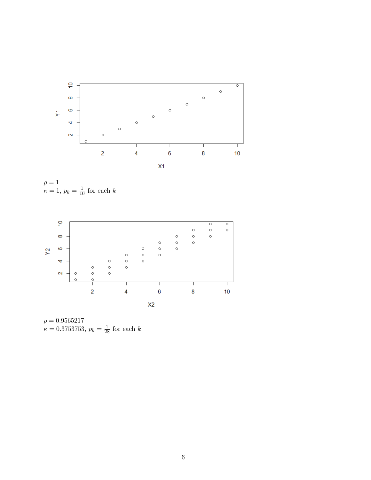

 $\rho = 1$  $\kappa = 1, p_k = \frac{1}{10}$  for each k



 $\rho = 0.9565217$  $\kappa = 0.3753753, p_k = \frac{1}{28}$  for each k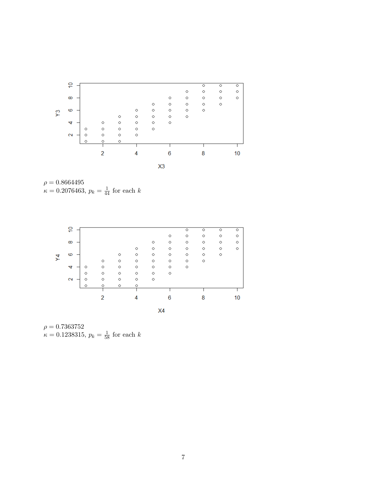

 $\rho = 0.8664495$  $\kappa = 0.2076463, p_k = \frac{1}{44}$  for each k



 $\rho = 0.7363752$  $\kappa = 0.1238315, p_k = \frac{1}{58}$  for each k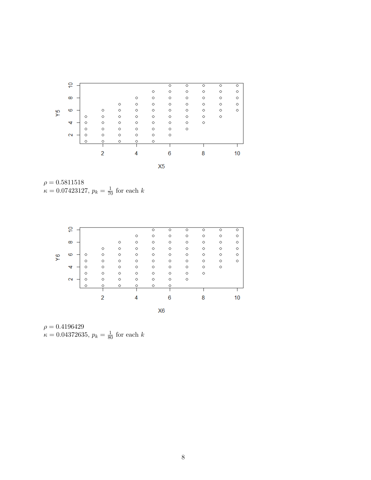





 $\rho = 0.4196429$  $\kappa = 0.04372635, p_k = \frac{1}{80}$  for each k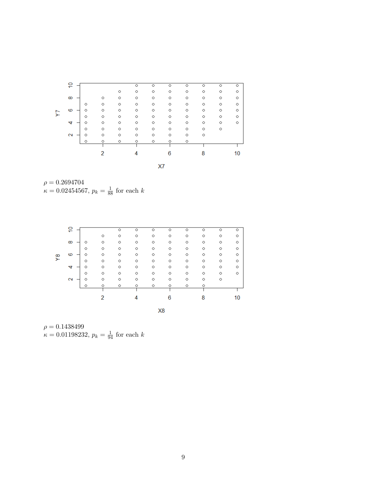





 $\rho = 0.1438499$  $\kappa = 0.01198232, p_k = \frac{1}{94}$  for each k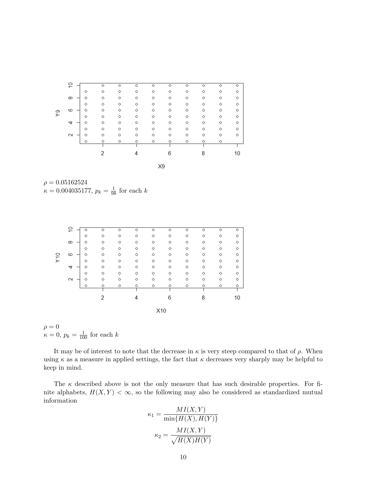

 $\rho = 0.05162524$  $\kappa = 0.004035177, p_k = \frac{1}{98}$  for each k

|     | ę                 | $\circ$ | $\circ$ | $\circ$ | $\circ$ | $\circ$ | $\circ$ | $\circ$ | $\circ$ | $\circ$ | Ō       |
|-----|-------------------|---------|---------|---------|---------|---------|---------|---------|---------|---------|---------|
| Υ10 |                   | $\circ$ | $\circ$ | $\circ$ | $\circ$ | $\circ$ | $\circ$ | $\circ$ | $\circ$ | $\circ$ | $\circ$ |
|     | œ                 | $\circ$ | $\circ$ | $\circ$ | $\circ$ | $\circ$ | $\circ$ | $\circ$ | $\circ$ | $\circ$ | $\circ$ |
|     |                   | $\circ$ | $\circ$ | $\circ$ | $\circ$ | $\circ$ | $\circ$ | $\circ$ | $\circ$ | $\circ$ | $\circ$ |
|     | 6                 | $\circ$ | $\circ$ | $\circ$ | $\circ$ | $\circ$ | $\circ$ | $\circ$ | $\circ$ | $\circ$ | $\circ$ |
|     |                   | $\circ$ | $\circ$ | $\circ$ | $\circ$ | $\circ$ | $\circ$ | $\circ$ | $\circ$ | $\circ$ | $\circ$ |
|     | ↴                 | $\circ$ | $\circ$ | $\circ$ | $\circ$ | $\circ$ | $\circ$ | $\circ$ | $\circ$ | $\circ$ | $\circ$ |
|     |                   | $\circ$ | $\circ$ | $\circ$ | $\circ$ | $\circ$ | $\circ$ | $\circ$ | $\circ$ | $\circ$ | $\circ$ |
|     | $\mathbf{\Omega}$ | $\circ$ | O       | $\circ$ | $\circ$ | $\circ$ | $\circ$ | $\circ$ | $\circ$ | $\circ$ | $\circ$ |
|     |                   | $\circ$ | $\circ$ | $\circ$ | $\circ$ | $\circ$ | $\circ$ | $\circ$ | $\circ$ | $\circ$ | $\circ$ |
|     |                   |         |         |         |         |         |         |         |         |         |         |
|     |                   |         | 2       |         | 4       |         | 6       |         | 8       |         | 10      |
|     | X10               |         |         |         |         |         |         |         |         |         |         |

$$
\rho = 0
$$
  

$$
\kappa = 0, p_k = \frac{1}{100}
$$
 for each k

It may be of interest to note that the decrease in  $\kappa$  is very steep compared to that of  $\rho$ . When using  $\kappa$  as a measure in applied settings, the fact that  $\kappa$  decreases very sharply may be helpful to keep in mind.

The  $\kappa$  described above is not the only measure that has such desirable properties. For finite alphabets,  $H(X, Y) < \infty$ , so the following may also be considered as standardized mutual information

$$
\kappa_1 = \frac{MI(X, Y)}{\min\{H(X), H(Y)\}}
$$

$$
\kappa_2 = \frac{MI(X, Y)}{\sqrt{H(X)H(Y)}}
$$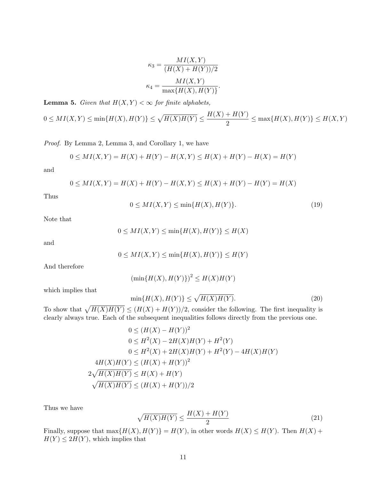$$
\kappa_3 = \frac{MI(X, Y)}{(H(X) + H(Y))/2}
$$

$$
\kappa_4 = \frac{MI(X, Y)}{\max\{H(X), H(Y)\}}.
$$

**Lemma 5.** Given that  $H(X, Y) < \infty$  for finite alphabets,

$$
0 \le MI(X, Y) \le \min\{H(X), H(Y)\} \le \sqrt{H(X)H(Y)} \le \frac{H(X) + H(Y)}{2} \le \max\{H(X), H(Y)\} \le H(X, Y)
$$

Proof. By Lemma 2, Lemma 3, and Corollary 1, we have

$$
0 \le MI(X, Y) = H(X) + H(Y) - H(X, Y) \le H(X) + H(Y) - H(X) = H(Y)
$$

and

$$
0 \le MI(X, Y) = H(X) + H(Y) - H(X, Y) \le H(X) + H(Y) - H(Y) = H(X)
$$

Thus

$$
0 \le MI(X, Y) \le \min\{H(X), H(Y)\}.\tag{19}
$$

Note that

$$
0 \le MI(X, Y) \le \min\{H(X), H(Y)\} \le H(X)
$$

and

$$
0 \le MI(X, Y) \le \min\{H(X), H(Y)\} \le H(Y)
$$

And therefore

$$
(\min\{H(X),H(Y)\})^2 \le H(X)H(Y)
$$

which implies that

$$
\min\{H(X), H(Y)\} \le \sqrt{H(X)H(Y)}.\tag{20}
$$

To show that  $\sqrt{H(X)H(Y)} \leq (H(X) + H(Y))/2$ , consider the following. The first inequality is clearly always true. Each of the subsequent inequalities follows directly from the previous one.

$$
0 \le (H(X) - H(Y))^2
$$
  
\n
$$
0 \le H^2(X) - 2H(X)H(Y) + H^2(Y)
$$
  
\n
$$
0 \le H^2(X) + 2H(X)H(Y) + H^2(Y) - 4H(X)H(Y)
$$
  
\n
$$
4H(X)H(Y) \le (H(X) + H(Y))^2
$$
  
\n
$$
2\sqrt{H(X)H(Y)} \le H(X) + H(Y)
$$
  
\n
$$
\sqrt{H(X)H(Y)} \le (H(X) + H(Y))/2
$$

Thus we have

$$
\sqrt{H(X)H(Y)} \le \frac{H(X) + H(Y)}{2} \tag{21}
$$

Finally, suppose that  $\max\{H(X), H(Y)\} = H(Y)$ , in other words  $H(X) \le H(Y)$ . Then  $H(X)$  +  $H(Y) \leq 2H(Y)$ , which implies that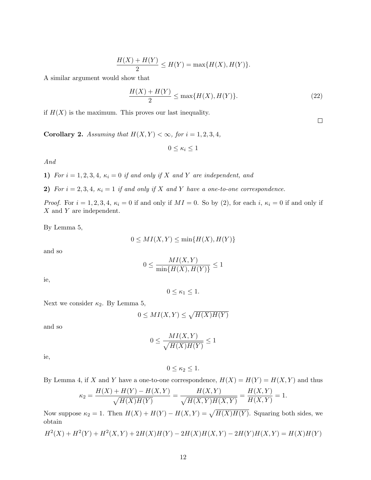$$
\frac{H(X) + H(Y)}{2} \le H(Y) = \max\{H(X), H(Y)\}.
$$

A similar argument would show that

$$
\frac{H(X) + H(Y)}{2} \le \max\{H(X), H(Y)\}.
$$
 (22)

if  $H(X)$  is the maximum. This proves our last inequality.

Corollary 2. Assuming that  $H(X, Y) < \infty$ , for  $i = 1, 2, 3, 4$ ,

$$
0\leq \kappa_i\leq 1
$$

And

1) For  $i = 1, 2, 3, 4$ ,  $\kappa_i = 0$  if and only if X and Y are independent, and

2) For  $i = 2, 3, 4, \kappa_i = 1$  if and only if X and Y have a one-to-one correspondence.

*Proof.* For  $i = 1, 2, 3, 4$ ,  $\kappa_i = 0$  if and only if  $MI = 0$ . So by (2), for each i,  $\kappa_i = 0$  if and only if X and Y are independent.

By Lemma 5,

$$
0 \le MI(X, Y) \le \min\{H(X), H(Y)\}
$$

and so

$$
0 \le \frac{MI(X,Y)}{\min\{H(X),H(Y)\}} \le 1
$$

ie,

$$
0 \leq \kappa_1 \leq 1.
$$

Next we consider  $\kappa_2$ . By Lemma 5,

$$
0 \le MI(X, Y) \le \sqrt{H(X)H(Y)}
$$

and so

$$
0\leq \frac{MI(X,Y)}{\sqrt{H(X)H(Y)}}\leq 1
$$

ie,

$$
0\leq \kappa_2\leq 1.
$$

By Lemma 4, if X and Y have a one-to-one correspondence,  $H(X) = H(Y) = H(X, Y)$  and thus

$$
\kappa_2 = \frac{H(X) + H(Y) - H(X, Y)}{\sqrt{H(X)H(Y)}} = \frac{H(X, Y)}{\sqrt{H(X, Y)H(X, Y)}} = \frac{H(X, Y)}{H(X, Y)} = 1.
$$

Now suppose  $\kappa_2 = 1$ . Then  $H(X) + H(Y) - H(X,Y) = \sqrt{H(X)H(Y)}$ . Squaring both sides, we obtain

$$
H^{2}(X) + H^{2}(Y) + H^{2}(X,Y) + 2H(X)H(Y) - 2H(X)H(X,Y) - 2H(Y)H(X,Y) = H(X)H(Y)
$$

 $\Box$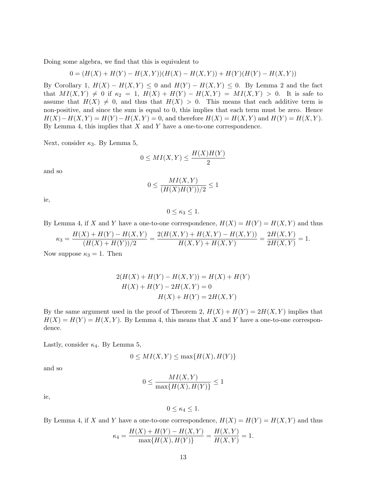Doing some algebra, we find that this is equivalent to

 $0 = (H(X) + H(Y) - H(X, Y))(H(X) - H(X, Y)) + H(Y)(H(Y) - H(X, Y))$ 

By Corollary 1,  $H(X) - H(X,Y) \leq 0$  and  $H(Y) - H(X,Y) \leq 0$ . By Lemma 2 and the fact that  $MI(X, Y) \neq 0$  if  $\kappa_2 = 1$ ,  $H(X) + H(Y) - H(X, Y) = MI(X, Y) > 0$ . It is safe to assume that  $H(X) \neq 0$ , and thus that  $H(X) > 0$ . This means that each additive term is non-positive, and since the sum is equal to 0, this implies that each term must be zero. Hence  $H(X)-H(X,Y) = H(Y)-H(X,Y) = 0$ , and therefore  $H(X) = H(X,Y)$  and  $H(Y) = H(X,Y)$ . By Lemma 4, this implies that  $X$  and  $Y$  have a one-to-one correspondence.

Next, consider  $\kappa_3$ . By Lemma 5,

$$
0 \le MI(X, Y) \le \frac{H(X)H(Y)}{2}
$$

and so

$$
0 \le \frac{MI(X,Y)}{(H(X)H(Y))/2} \le 1
$$

ie,

 $0 \leq \kappa_3 \leq 1$ .

By Lemma 4, if X and Y have a one-to-one correspondence,  $H(X) = H(Y) = H(X, Y)$  and thus

$$
\kappa_3 = \frac{H(X) + H(Y) - H(X, Y)}{(H(X) + H(Y))/2} = \frac{2(H(X, Y) + H(X, Y) - H(X, Y))}{H(X, Y) + H(X, Y)} = \frac{2H(X, Y)}{2H(X, Y)} = 1.
$$

Now suppose  $\kappa_3 = 1$ . Then

$$
2(H(X) + H(Y) - H(X, Y)) = H(X) + H(Y)
$$
  
H(X) + H(Y) - 2H(X, Y) = 0  
H(X) + H(Y) = 2H(X, Y)

By the same argument used in the proof of Theorem 2,  $H(X) + H(Y) = 2H(X, Y)$  implies that  $H(X) = H(Y) = H(X, Y)$ . By Lemma 4, this means that X and Y have a one-to-one correspondence.

Lastly, consider  $\kappa_4$ . By Lemma 5,

$$
0 \le MI(X, Y) \le \max\{H(X), H(Y)\}
$$

and so

$$
0 \le \frac{MI(X,Y)}{\max\{H(X),H(Y)\}} \le 1
$$

ie,

$$
0\leq \kappa_4\leq 1.
$$

By Lemma 4, if X and Y have a one-to-one correspondence,  $H(X) = H(Y) = H(X, Y)$  and thus

$$
\kappa_4 = \frac{H(X) + H(Y) - H(X, Y)}{\max\{H(X), H(Y)\}} = \frac{H(X, Y)}{H(X, Y)} = 1.
$$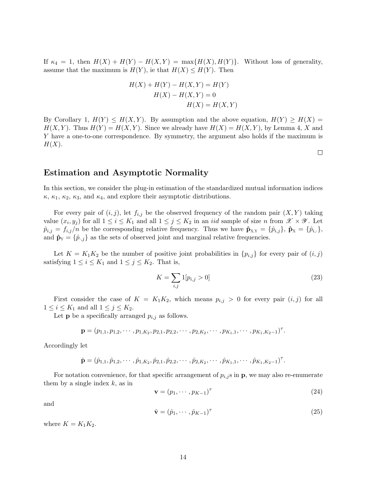If  $\kappa_4 = 1$ , then  $H(X) + H(Y) - H(X,Y) = \max\{H(X), H(Y)\}$ . Without loss of generality, assume that the maximum is  $H(Y)$ , ie that  $H(X) \leq H(Y)$ . Then

$$
H(X) + H(Y) - H(X, Y) = H(Y)
$$
  
 
$$
H(X) - H(X, Y) = 0
$$
  
 
$$
H(X) = H(X, Y)
$$

By Corollary 1,  $H(Y) \leq H(X, Y)$ . By assumption and the above equation,  $H(Y) \geq H(X)$  $H(X, Y)$ . Thus  $H(Y) = H(X, Y)$ . Since we already have  $H(X) = H(X, Y)$ , by Lemma 4, X and Y have a one-to-one correspondence. By symmetry, the argument also holds if the maximum is  $H(X)$ .

 $\Box$ 

#### Estimation and Asymptotic Normality

In this section, we consider the plug-in estimation of the standardized mutual information indices  $\kappa$ ,  $\kappa_1$ ,  $\kappa_2$ ,  $\kappa_3$ , and  $\kappa_4$ , and explore their asymptotic distributions.

For every pair of  $(i, j)$ , let  $f_{i,j}$  be the observed frequency of the random pair  $(X, Y)$  taking value  $(x_i, y_j)$  for all  $1 \le i \le K_1$  and all  $1 \le j \le K_2$  in an *iid* sample of size *n* from  $\mathscr{X} \times \mathscr{Y}$ . Let  $\hat{p}_{i,j} = f_{i,j}/n$  be the corresponding relative frequency. Thus we have  $\hat{\mathbf{p}}_{X,Y} = \{\hat{p}_{i,j}\}, \hat{\mathbf{p}}_{X} = \{\hat{p}_{i,\cdot}\},$ and  $\hat{\mathbf{p}}_{Y} = \{\hat{p}_{\cdot,j}\}\$ as the sets of observed joint and marginal relative frequencies.

Let  $K = K_1 K_2$  be the number of positive joint probabilities in  $\{p_{i,j}\}$  for every pair of  $(i, j)$ satisfying  $1 \leq i \leq K_1$  and  $1 \leq j \leq K_2$ . That is,

$$
K = \sum_{i,j} 1[p_{i,j} > 0]
$$
\n(23)

First consider the case of  $K = K_1K_2$ , which means  $p_{i,j} > 0$  for every pair  $(i, j)$  for all  $1 \leq i \leq K_1$  and all  $1 \leq j \leq K_2$ .

Let **p** be a specifically arranged  $p_{i,j}$  as follows.

$$
\mathbf{p} = (p_{1,1}, p_{1,2}, \cdots, p_{1,K_2}, p_{2,1}, p_{2,2}, \cdots, p_{2,K_2}, \cdots, p_{K_1,1}, \cdots, p_{K_1,K_2-1})^{\tau}.
$$

Accordingly let

$$
\hat{\mathbf{p}} = (\hat{p}_{1,1}, \hat{p}_{1,2}, \cdots, \hat{p}_{1,K_2}, \hat{p}_{2,1}, \hat{p}_{2,2}, \cdots, \hat{p}_{2,K_2}, \cdots, \hat{p}_{K_1,1}, \cdots, \hat{p}_{K_1,K_2-1})^{\tau}.
$$

For notation convenience, for that specific arrangement of  $p_{i,j}$  in  $\bf{p}$ , we may also re-enumerate them by a single index  $k$ , as in

$$
\mathbf{v} = (p_1, \cdots, p_{K-1})^{\tau} \tag{24}
$$

and

$$
\hat{\mathbf{v}} = (\hat{p}_1, \cdots, \hat{p}_{K-1})^{\tau} \tag{25}
$$

where  $K = K_1 K_2$ .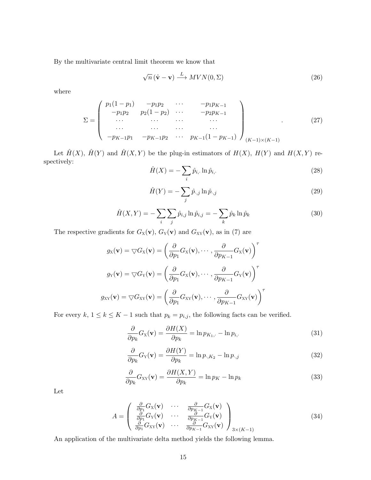By the multivariate central limit theorem we know that

$$
\sqrt{n}(\hat{\mathbf{v}} - \mathbf{v}) \stackrel{L}{\longrightarrow} MVN(0, \Sigma)
$$
\n(26)

where

$$
\Sigma = \begin{pmatrix} p_1(1-p_1) & -p_1p_2 & \cdots & -p_1p_{K-1} \\ -p_1p_2 & p_2(1-p_2) & \cdots & -p_2p_{K-1} \\ \cdots & \cdots & \cdots & \cdots \\ \cdots & \cdots & \cdots & \cdots \\ -p_{K-1}p_1 & -p_{K-1}p_2 & \cdots & p_{K-1}(1-p_{K-1}) \end{pmatrix}_{(K-1)\times(K-1)}
$$
(27)

Let  $\hat{H}(X)$ ,  $\hat{H}(Y)$  and  $\hat{H}(X,Y)$  be the plug-in estimators of  $H(X)$ ,  $H(Y)$  and  $H(X,Y)$  respectively:

$$
\hat{H}(X) = -\sum_{i} \hat{p}_{i,\cdot} \ln \hat{p}_{i,\cdot}
$$
\n(28)

$$
\hat{H}(Y) = -\sum_{j} \hat{p}_{\cdot,j} \ln \hat{p}_{\cdot,j} \tag{29}
$$

$$
\hat{H}(X,Y) = -\sum_{i} \sum_{j} \hat{p}_{i,j} \ln \hat{p}_{i,j} = -\sum_{k} \hat{p}_{k} \ln \hat{p}_{k}
$$
\n(30)

The respective gradients for  $G_{\rm X}({\bf v}),\,G_{\rm Y}({\bf v})$  and  $G_{\rm XY}({\bf v}),$  as in (7) are

$$
g_{\mathbf{X}}(\mathbf{v}) = \nabla G_{\mathbf{X}}(\mathbf{v}) = \left(\frac{\partial}{\partial p_1} G_{\mathbf{X}}(\mathbf{v}), \cdots, \frac{\partial}{\partial p_{K-1}} G_{\mathbf{X}}(\mathbf{v})\right)^{\tau}
$$

$$
g_{\mathbf{Y}}(\mathbf{v}) = \nabla G_{\mathbf{Y}}(\mathbf{v}) = \left(\frac{\partial}{\partial p_1} G_{\mathbf{X}}(\mathbf{v}), \cdots, \frac{\partial}{\partial p_{K-1}} G_{\mathbf{Y}}(\mathbf{v})\right)^{\tau}
$$

$$
g_{\mathbf{XY}}(\mathbf{v}) = \nabla G_{\mathbf{XY}}(\mathbf{v}) = \left(\frac{\partial}{\partial p_1} G_{\mathbf{XY}}(\mathbf{v}), \cdots, \frac{\partial}{\partial p_{K-1}} G_{\mathbf{XY}}(\mathbf{v})\right)^{\tau}
$$

For every  $k, 1 \leq k \leq K - 1$  such that  $p_k = p_{i,j}$ , the following facts can be verified.

$$
\frac{\partial}{\partial p_k} G_{\mathbf{X}}(\mathbf{v}) = \frac{\partial H(X)}{\partial p_k} = \ln p_{K_1, \cdot} - \ln p_{i, \cdot}
$$
\n(31)

$$
\frac{\partial}{\partial p_k} G_{\mathbf{Y}}(\mathbf{v}) = \frac{\partial H(Y)}{\partial p_k} = \ln p_{\cdot,K_2} - \ln p_{\cdot,j}
$$
\n(32)

$$
\frac{\partial}{\partial p_k} G_{XY}(\mathbf{v}) = \frac{\partial H(X, Y)}{\partial p_k} = \ln p_K - \ln p_k \tag{33}
$$

Let

$$
A = \begin{pmatrix} \frac{\partial}{\partial p_1} G_{\mathbf{X}}(\mathbf{v}) & \cdots & \frac{\partial}{\partial p_{K-1}} G_{\mathbf{X}}(\mathbf{v}) \\ \frac{\partial}{\partial p_1} G_{\mathbf{Y}}(\mathbf{v}) & \cdots & \frac{\partial}{\partial p_{K-1}} G_{\mathbf{Y}}(\mathbf{v}) \\ \frac{\partial}{\partial p_1} G_{\mathbf{XY}}(\mathbf{v}) & \cdots & \frac{\partial}{\partial p_{K-1}} G_{\mathbf{XY}}(\mathbf{v}) \end{pmatrix}_{3 \times (K-1)}
$$
(34)

An application of the multivariate delta method yields the following lemma.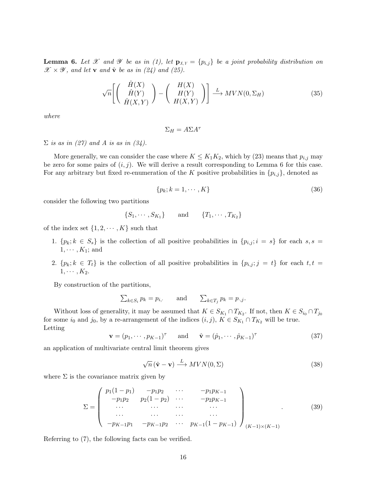**Lemma 6.** Let X and Y be as in (1), let  $\mathbf{p}_{X,Y} = \{p_{i,j}\}\$ be a joint probability distribution on  $\mathscr{X} \times \mathscr{Y}$ , and let **v** and  $\hat{\mathbf{v}}$  be as in (24) and (25).

$$
\sqrt{n}\left[\begin{pmatrix}\n\hat{H}(X) \\
\hat{H}(Y) \\
\hat{H}(X,Y)\n\end{pmatrix} - \begin{pmatrix}\nH(X) \\
H(Y) \\
H(X,Y)\n\end{pmatrix}\right] \xrightarrow{L} MVN(0,\Sigma_H)
$$
\n(35)

where

$$
\Sigma_H = A \Sigma A^\tau
$$

 $\Sigma$  is as in (27) and A is as in (34).

More generally, we can consider the case where  $K \leq K_1 K_2$ , which by (23) means that  $p_{i,j}$  may be zero for some pairs of  $(i, j)$ . We will derive a result corresponding to Lemma 6 for this case. For any arbitrary but fixed re-enumeration of the K positive probabilities in  $\{p_{i,j}\}$ , denoted as

$$
\{p_k; k = 1, \cdots, K\} \tag{36}
$$

consider the following two partitions

$$
\{S_1, \cdots, S_{K_1}\} \qquad \text{and} \qquad \{T_1, \cdots, T_{K_2}\}
$$

of the index set  $\{1, 2, \cdots, K\}$  such that

- 1.  $\{p_k; k \in S_s\}$  is the collection of all positive probabilities in  $\{p_{i,j}; i = s\}$  for each  $s, s =$  $1, \cdots, K_1$ ; and
- 2.  $\{p_k; k \in T_t\}$  is the collection of all positive probabilities in  $\{p_{i,j}; j = t\}$  for each  $t, t =$  $1, \cdots, K_2$ .

By construction of the partitions,

$$
\sum_{k \in S_i} p_k = p_{i,}
$$
 and 
$$
\sum_{k \in T_j} p_k = p_{\cdot,j}.
$$

Without loss of generality, it may be assumed that  $K \in S_{K_1} \cap T_{K_2}$ . If not, then  $K \in S_{i_0} \cap T_{j_0}$ for some  $i_0$  and  $j_0$ , by a re-arrangement of the indices  $(i, j)$ ,  $K \in S_{K_1} \cap T_{K_2}$  will be true. Letting

$$
\mathbf{v} = (p_1, \cdots, p_{K-1})^{\tau}
$$
 and  $\hat{\mathbf{v}} = (\hat{p}_1, \cdots, \hat{p}_{K-1})^{\tau}$  (37)

an application of multivariate central limit theorem gives

$$
\sqrt{n} (\hat{\mathbf{v}} - \mathbf{v}) \xrightarrow{L} MVN(0, \Sigma)
$$
\n(38)

where  $\Sigma$  is the covariance matrix given by

$$
\Sigma = \begin{pmatrix} p_1(1-p_1) & -p_1p_2 & \cdots & -p_1p_{K-1} \\ -p_1p_2 & p_2(1-p_2) & \cdots & -p_2p_{K-1} \\ \cdots & \cdots & \cdots & \cdots \\ \cdots & \cdots & \cdots & \cdots \\ -p_{K-1}p_1 & -p_{K-1}p_2 & \cdots & p_{K-1}(1-p_{K-1}) \end{pmatrix}_{(K-1)\times(K-1)}
$$
(39)

Referring to (7), the following facts can be verified.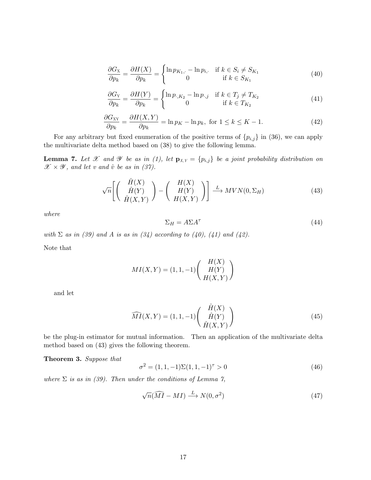$$
\frac{\partial G_{\mathbf{x}}}{\partial p_k} = \frac{\partial H(X)}{\partial p_k} = \begin{cases} \ln p_{K_1, \cdot} - \ln p_{i, \cdot} & \text{if } k \in S_i \neq S_{K_1} \\ 0 & \text{if } k \in S_{K_1} \end{cases} \tag{40}
$$

$$
\frac{\partial G_{\mathbf{Y}}}{\partial p_k} = \frac{\partial H(Y)}{\partial p_k} = \begin{cases} \ln p_{\cdot,K_2} - \ln p_{\cdot,j} & \text{if } k \in T_j \neq T_{K_2} \\ 0 & \text{if } k \in T_{K_2} \end{cases}
$$
(41)

$$
\frac{\partial G_{XY}}{\partial p_k} = \frac{\partial H(X, Y)}{\partial p_k} = \ln p_K - \ln p_k, \text{ for } 1 \le k \le K - 1.
$$
 (42)

For any arbitrary but fixed enumeration of the positive terms of  $\{p_{i,j}\}$  in (36), we can apply the multivariate delta method based on (38) to give the following lemma.

**Lemma 7.** Let X and Y be as in (1), let  $\mathbf{p}_{X,Y} = \{p_{i,j}\}\$  be a joint probability distribution on  $\mathscr{X} \times \mathscr{Y}$ , and let v and  $\hat{v}$  be as in (37).

$$
\sqrt{n}\left[\begin{pmatrix}\n\hat{H}(X) \\
\hat{H}(Y) \\
\hat{H}(X,Y)\n\end{pmatrix} - \begin{pmatrix}\nH(X) \\
H(Y) \\
H(X,Y)\n\end{pmatrix}\right] \xrightarrow{L} MVN(0,\Sigma_H)
$$
\n(43)

where

$$
\Sigma_H = A \Sigma A^\tau \tag{44}
$$

with  $\Sigma$  as in (39) and A is as in (34) according to (40), (41) and (42).

Note that

$$
MI(X,Y) = (1, 1, -1) \binom{H(X)}{H(Y)}{H(X,Y)}
$$

and let

$$
\widehat{MI}(X,Y) = (1,1,-1) \begin{pmatrix} \hat{H}(X) \\ \hat{H}(Y) \\ \hat{H}(X,Y) \end{pmatrix}
$$
(45)

be the plug-in estimator for mutual information. Then an application of the multivariate delta method based on (43) gives the following theorem.

Theorem 3. Suppose that

$$
\sigma^2 = (1, 1, -1)\Sigma(1, 1, -1)^\tau > 0 \tag{46}
$$

where  $\Sigma$  is as in (39). Then under the conditions of Lemma 7,

$$
\sqrt{n}(\widehat{MI} - MI) \xrightarrow{L} N(0, \sigma^2)
$$
\n(47)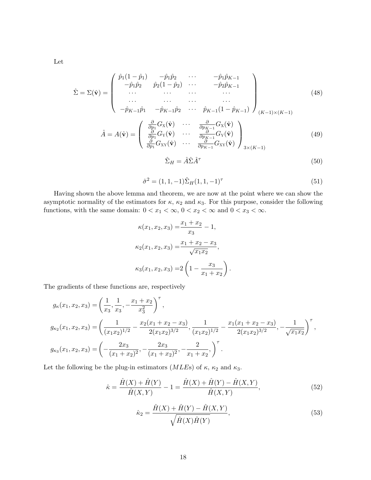Let

$$
\hat{\Sigma} = \Sigma(\hat{\mathbf{v}}) = \begin{pmatrix}\n\hat{p}_1(1-\hat{p}_1) & -\hat{p}_1\hat{p}_2 & \cdots & -\hat{p}_1\hat{p}_{K-1} \\
-\hat{p}_1\hat{p}_2 & \hat{p}_2(1-\hat{p}_2) & \cdots & -\hat{p}_2\hat{p}_{K-1} \\
\cdots & \cdots & \cdots & \cdots \\
-\hat{p}_{K-1}\hat{p}_1 & -\hat{p}_{K-1}\hat{p}_2 & \cdots & \hat{p}_{K-1}(1-\hat{p}_{K-1})\n\end{pmatrix}_{(K-1)\times(K-1)}\n\tag{48}
$$
\n
$$
\hat{A} = A(\hat{\mathbf{v}}) = \begin{pmatrix}\n\frac{\partial}{\partial p_1} G_X(\hat{\mathbf{v}}) & \cdots & \frac{\partial}{\partial p_{K-1}} G_X(\hat{\mathbf{v}}) \\
\frac{\partial}{\partial p_1} G_X(\hat{\mathbf{v}}) & \cdots & \frac{\partial}{\partial p_{K-1}} G_X(\hat{\mathbf{v}}) \\
\frac{\partial}{\partial p_1} G_{XY}(\hat{\mathbf{v}}) & \cdots & \frac{\partial}{\partial p_{K-1}} G_{XY}(\hat{\mathbf{v}})\n\end{pmatrix}_{3\times(K-1)}\n\tag{49}
$$
\n
$$
\hat{\Sigma}_H = \hat{A}\hat{\Sigma}\hat{A}^\tau
$$
\n(50)

$$
\hat{\sigma}^2 = (1, 1, -1)\hat{\Sigma}_H (1, 1, -1)^\tau \tag{51}
$$

Having shown the above lemma and theorem, we are now at the point where we can show the asymptotic normality of the estimators for  $\kappa$ ,  $\kappa_2$  and  $\kappa_3$ . For this purpose, consider the following functions, with the same domain:  $0 < x_1 < \infty$ ,  $0 < x_2 < \infty$  and  $0 < x_3 < \infty$ .

$$
\kappa(x_1, x_2, x_3) = \frac{x_1 + x_2}{x_3} - 1,
$$
  
\n
$$
\kappa_2(x_1, x_2, x_3) = \frac{x_1 + x_2 - x_3}{\sqrt{x_1 x_2}},
$$
  
\n
$$
\kappa_3(x_1, x_2, x_3) = 2\left(1 - \frac{x_3}{x_1 + x_2}\right).
$$

The gradients of these functions are, respectively

$$
g_{\kappa}(x_1, x_2, x_3) = \left(\frac{1}{x_3}, \frac{1}{x_3}, -\frac{x_1 + x_2}{x_3^2}\right)^{\tau},
$$
  
\n
$$
g_{\kappa_2}(x_1, x_2, x_3) = \left(\frac{1}{(x_1 x_2)^{1/2}} - \frac{x_2 (x_1 + x_2 - x_3)}{2 (x_1 x_2)^{3/2}}, \frac{1}{(x_1 x_2)^{1/2}} - \frac{x_1 (x_1 + x_2 - x_3)}{2 (x_1 x_2)^{3/2}}, -\frac{1}{\sqrt{x_1 x_2}}\right)^{\tau},
$$
  
\n
$$
g_{\kappa_3}(x_1, x_2, x_3) = \left(-\frac{2x_3}{(x_1 + x_2)^2}, -\frac{2x_3}{(x_1 + x_2)^2}, -\frac{2}{x_1 + x_2}, \right)^{\tau}.
$$

Let the following be the plug-in estimators ( $MLE$ s) of  $\kappa$ ,  $\kappa_2$  and  $\kappa_3$ .

$$
\hat{\kappa} = \frac{\hat{H}(X) + \hat{H}(Y)}{\hat{H}(X, Y)} - 1 = \frac{\hat{H}(X) + \hat{H}(Y) - \hat{H}(X, Y)}{\hat{H}(X, Y)},
$$
\n(52)

$$
\hat{\kappa}_2 = \frac{\hat{H}(X) + \hat{H}(Y) - \hat{H}(X, Y)}{\sqrt{\hat{H}(X)\hat{H}(Y)}},
$$
\n(53)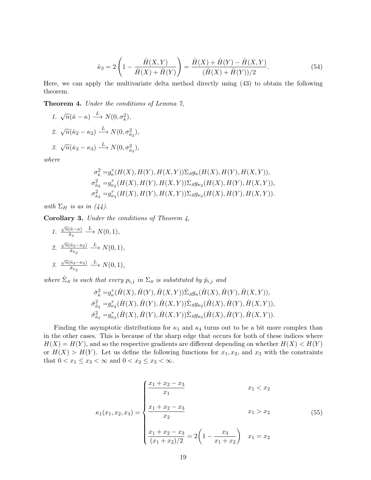$$
\hat{\kappa}_3 = 2\left(1 - \frac{\hat{H}(X, Y)}{\hat{H}(X) + \hat{H}(Y)}\right) = \frac{\hat{H}(X) + \hat{H}(Y) - \hat{H}(X, Y)}{(\hat{H}(X) + \hat{H}(Y))/2}.
$$
\n(54)

Here, we can apply the multivariate delta method directly using (43) to obtain the following theorem.

Theorem 4. Under the conditions of Lemma 7,

1. 
$$
\sqrt{n}(\hat{\kappa} - \kappa) \xrightarrow{L} N(0, \sigma_{\hat{\kappa}}^2),
$$
  
\n2.  $\sqrt{n}(\hat{\kappa}_2 - \kappa_2) \xrightarrow{L} N(0, \sigma_{\hat{\kappa}_2}^2),$   
\n3.  $\sqrt{n}(\hat{\kappa}_3 - \kappa_3) \xrightarrow{L} N(0, \sigma_{\hat{\kappa}_3}^2),$ 

where

$$
\sigma_{\hat{\kappa}}^2 = g_{\kappa}^{\tau}(H(X), H(Y), H(X, Y)) \Sigma_{H} g_{\kappa}(H(X), H(Y), H(X, Y)),
$$
  
\n
$$
\sigma_{\hat{\kappa}_2}^2 = g_{\kappa_2}^{\tau}(H(X), H(Y), H(X, Y)) \Sigma_{H} g_{\kappa_2}(H(X), H(Y), H(X, Y)),
$$
  
\n
$$
\sigma_{\hat{\kappa}_3}^2 = g_{\kappa_3}^{\tau}(H(X), H(Y), H(X, Y)) \Sigma_{H} g_{\kappa_3}(H(X), H(Y), H(X, Y)).
$$

with  $\Sigma_H$  is as in (44).

**Corollary 3.** Under the conditions of Theorem  $\lambda$ ,

1. 
$$
\frac{\sqrt{n}(\hat{\kappa} - \kappa)}{\hat{\sigma}_{\hat{\kappa}}} \xrightarrow{L} N(0, 1),
$$
  
2. 
$$
\frac{\sqrt{n}(\hat{\kappa}_2 - \kappa_2)}{\hat{\sigma}_{\hat{\kappa}_2}} \xrightarrow{L} N(0, 1),
$$
  
3. 
$$
\frac{\sqrt{n}(\hat{\kappa}_3 - \kappa_3)}{\hat{\sigma}_{\hat{\kappa}_3}} \xrightarrow{L} N(0, 1),
$$

where  $\hat{\Sigma}_H$  is such that every  $p_{i,j}$  in  $\Sigma_H$  is substituted by  $\hat{p}_{i,j}$  and

$$
\hat{\sigma}_{\hat{\kappa}}^2 = g_{\kappa}^{\tau}(\hat{H}(X), \hat{H}(Y), \hat{H}(X, Y)) \hat{\Sigma}_{H} g_{\kappa}(\hat{H}(X), \hat{H}(Y), \hat{H}(X, Y)), \n\hat{\sigma}_{\hat{\kappa}_2}^2 = g_{\kappa_2}^{\tau}(\hat{H}(X), \hat{H}(Y), \hat{H}(X, Y)) \hat{\Sigma}_{H} g_{\kappa_2}(\hat{H}(X), \hat{H}(Y), \hat{H}(X, Y)), \n\hat{\sigma}_{\hat{\kappa}_3}^2 = g_{\kappa_3}^{\tau}(\hat{H}(X), \hat{H}(Y), \hat{H}(X, Y)) \hat{\Sigma}_{H} g_{\kappa_3}(\hat{H}(X), \hat{H}(Y), \hat{H}(X, Y)).
$$

Finding the asymptotic distributions for  $\kappa_1$  and  $\kappa_4$  turns out to be a bit more complex than in the other cases. This is because of the sharp edge that occurs for both of these indices where  $H(X) = H(Y)$ , and so the respective gradients are different depending on whether  $H(X) < H(Y)$ or  $H(X) > H(Y)$ . Let us define the following functions for  $x_1, x_2$ , and  $x_3$  with the constraints that  $0 < x_1 \leq x_3 < \infty$  and  $0 < x_2 \leq x_3 < \infty$ .

$$
\kappa_1(x_1, x_2, x_3) = \begin{cases} \frac{x_1 + x_2 - x_3}{x_1} & x_1 < x_2\\ \frac{x_1 + x_2 - x_3}{x_2} & x_1 > x_2\\ \frac{x_1 + x_2 - x_3}{(x_1 + x_2)/2} = 2\left(1 - \frac{x_3}{x_1 + x_2}\right) & x_1 = x_2 \end{cases}
$$
(55)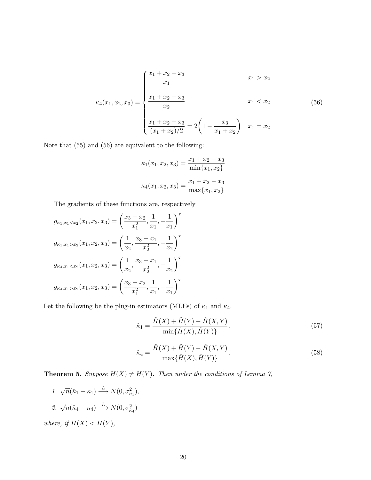$$
\kappa_4(x_1, x_2, x_3) = \begin{cases} \frac{x_1 + x_2 - x_3}{x_1} & x_1 > x_2\\ \frac{x_1 + x_2 - x_3}{x_2} & x_1 < x_2\\ \frac{x_1 + x_2 - x_3}{(x_1 + x_2)/2} = 2\left(1 - \frac{x_3}{x_1 + x_2}\right) & x_1 = x_2 \end{cases}
$$
(56)

Note that (55) and (56) are equivalent to the following:

$$
\kappa_1(x_1, x_2, x_3) = \frac{x_1 + x_2 - x_3}{\min\{x_1, x_2\}}
$$

$$
\kappa_4(x_1, x_2, x_3) = \frac{x_1 + x_2 - x_3}{\max\{x_1, x_2\}}
$$

The gradients of these functions are, respectively

$$
g_{\kappa_1, x_1 < x_2}(x_1, x_2, x_3) = \left(\frac{x_3 - x_2}{x_1^2}, \frac{1}{x_1}, -\frac{1}{x_1}\right)^{\tau}
$$
\n
$$
g_{\kappa_1, x_1 > x_2}(x_1, x_2, x_3) = \left(\frac{1}{x_2}, \frac{x_3 - x_1}{x_2^2}, -\frac{1}{x_2}\right)^{\tau}
$$
\n
$$
g_{\kappa_4, x_1 < x_2}(x_1, x_2, x_3) = \left(\frac{1}{x_2}, \frac{x_3 - x_1}{x_2^2}, -\frac{1}{x_2}\right)^{\tau}
$$
\n
$$
g_{\kappa_4, x_1 > x_2}(x_1, x_2, x_3) = \left(\frac{x_3 - x_2}{x_1^2}, \frac{1}{x_1}, -\frac{1}{x_1}\right)^{\tau}
$$

Let the following be the plug-in estimators (MLEs) of  $\kappa_1$  and  $\kappa_4.$ 

$$
\hat{\kappa}_1 = \frac{\hat{H}(X) + \hat{H}(Y) - \hat{H}(X, Y)}{\min{\{\hat{H}(X), \hat{H}(Y)\}}},\tag{57}
$$

$$
\hat{\kappa}_4 = \frac{\hat{H}(X) + \hat{H}(Y) - \hat{H}(X, Y)}{\max\{\hat{H}(X), \hat{H}(Y)\}},
$$
\n(58)

**Theorem 5.** Suppose  $H(X) \neq H(Y)$ . Then under the conditions of Lemma 7,

1.  $\sqrt{n}(\hat{\kappa}_1 - \kappa_1) \stackrel{L}{\longrightarrow} N(0, \sigma_{\hat{\kappa}_1}^2),$ 2.  $\sqrt{n}(\hat{\kappa}_4 - \kappa_4) \stackrel{L}{\longrightarrow} N(0, \sigma_{\hat{\kappa}_4}^2)$ 

where, if  $H(X) < H(Y)$ ,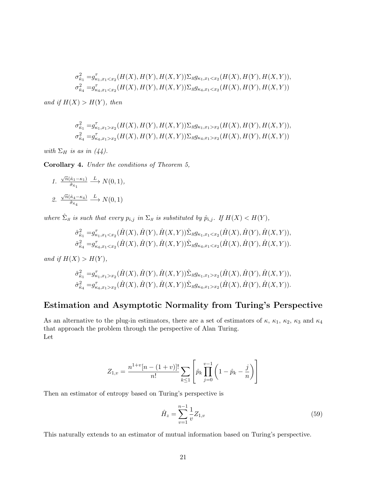$$
\sigma_{\hat{\kappa}_1}^2 = g_{\kappa_1, x_1 < x_2}^{\tau}(H(X), H(Y), H(X, Y)) \Sigma_H g_{\kappa_1, x_1 < x_2}(H(X), H(Y), H(X, Y)),
$$
  

$$
\sigma_{\hat{\kappa}_4}^2 = g_{\kappa_4, x_1 < x_2}^{\tau}(H(X), H(Y), H(X, Y)) \Sigma_H g_{\kappa_4, x_1 < x_2}(H(X), H(Y), H(X, Y))
$$

and if  $H(X) > H(Y)$ , then

$$
\sigma_{\hat{\kappa}_1}^2 = g_{\kappa_1, x_1 > x_2}^{\tau}(H(X), H(Y), H(X, Y)) \Sigma_H g_{\kappa_1, x_1 > x_2}(H(X), H(Y), H(X, Y)),
$$
  

$$
\sigma_{\hat{\kappa}_4}^2 = g_{\kappa_4, x_1 > x_2}^{\tau}(H(X), H(Y), H(X, Y)) \Sigma_H g_{\kappa_4, x_1 > x_2}(H(X), H(Y), H(X, Y))
$$

with  $\Sigma_H$  is as in (44).

Corollary 4. Under the conditions of Theorem 5,

1. 
$$
\frac{\sqrt{n}(\hat{\kappa}_1 - \kappa_1)}{\hat{\sigma}_{\hat{\kappa}_1}} \xrightarrow{L} N(0, 1),
$$
  
2. 
$$
\frac{\sqrt{n}(\hat{\kappa}_4 - \kappa_4)}{\hat{\sigma}_{\hat{\kappa}_4}} \xrightarrow{L} N(0, 1)
$$

where  $\hat{\Sigma}_H$  is such that every  $p_{i,j}$  in  $\Sigma_H$  is substituted by  $\hat{p}_{i,j}$ . If  $H(X) < H(Y)$ ,

$$
\hat{\sigma}_{\hat{\kappa}_1}^2 = g_{\kappa_1, x_1 < x_2}^{\tau}(\hat{H}(X), \hat{H}(Y), \hat{H}(X, Y)) \hat{\Sigma}_H g_{\kappa_1, x_1 < x_2}(\hat{H}(X), \hat{H}(Y), \hat{H}(X, Y)), \n\hat{\sigma}_{\hat{\kappa}_4}^2 = g_{\kappa_4, x_1 < x_2}^{\tau}(\hat{H}(X), \hat{H}(Y), \hat{H}(X, Y)) \hat{\Sigma}_H g_{\kappa_4, x_1 < x_2}(\hat{H}(X), \hat{H}(Y), \hat{H}(X, Y)).
$$

and if  $H(X) > H(Y)$ ,

$$
\hat{\sigma}_{\hat{\kappa}_1}^2 = g_{\kappa_1, x_1 > x_2}^{\tau}(\hat{H}(X), \hat{H}(Y), \hat{H}(X, Y)) \hat{\Sigma}_H g_{\kappa_1, x_1 > x_2}(\hat{H}(X), \hat{H}(Y), \hat{H}(X, Y)), \n\hat{\sigma}_{\hat{\kappa}_4}^2 = g_{\kappa_4, x_1 > x_2}^{\tau}(\hat{H}(X), \hat{H}(Y), \hat{H}(X, Y)) \hat{\Sigma}_H g_{\kappa_4, x_1 > x_2}(\hat{H}(X), \hat{H}(Y), \hat{H}(X, Y)).
$$

## Estimation and Asymptotic Normality from Turing's Perspective

As an alternative to the plug-in estimators, there are a set of estimators of  $\kappa$ ,  $\kappa_1$ ,  $\kappa_2$ ,  $\kappa_3$  and  $\kappa_4$ that approach the problem through the perspective of Alan Turing. Let

$$
Z_{1,v} = \frac{n^{1+v}[n - (1+v)]!}{n!} \sum_{k \le 1} \left[ \hat{p}_k \prod_{j=0}^{v-1} \left(1 - \hat{p}_k - \frac{j}{n}\right) \right]
$$

Then an estimator of entropy based on Turing's perspective is

$$
\hat{H}_z = \sum_{v=1}^{n-1} \frac{1}{v} Z_{1,v}
$$
\n(59)

This naturally extends to an estimator of mutual information based on Turing's perspective.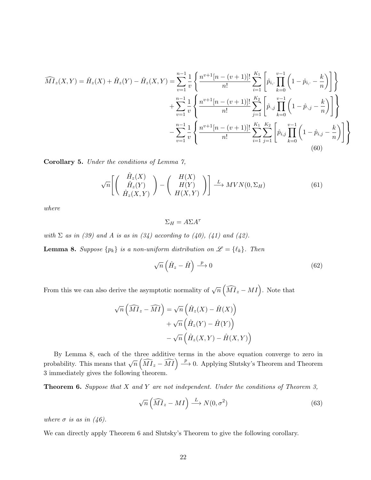$$
\widehat{MI}_z(X,Y) = \hat{H}_z(X) + \hat{H}_z(Y) - \hat{H}_z(X,Y) = \sum_{v=1}^{n-1} \frac{1}{v} \left\{ \frac{n^{v+1}[n-(v+1)]!}{n!} \sum_{i=1}^{K_1} \left[ \hat{p}_{i,\cdot} \prod_{k=0}^{v-1} \left( 1 - \hat{p}_{i,\cdot} - \frac{k}{n} \right) \right] \right\}
$$
  
+ 
$$
\sum_{v=1}^{n-1} \frac{1}{v} \left\{ \frac{n^{v+1}[n-(v+1)]!}{n!} \sum_{j=1}^{K_2} \left[ \hat{p}_{\cdot,j} \prod_{k=0}^{v-1} \left( 1 - \hat{p}_{\cdot,j} - \frac{k}{n} \right) \right] \right\}
$$
  
- 
$$
\sum_{v=1}^{n-1} \frac{1}{v} \left\{ \frac{n^{v+1}[n-(v+1)]!}{n!} \sum_{i=1}^{K_1} \sum_{j=1}^{K_2} \left[ \hat{p}_{i,j} \prod_{k=0}^{v-1} \left( 1 - \hat{p}_{i,j} - \frac{k}{n} \right) \right] \right\}
$$
  
(60)

Corollary 5. Under the conditions of Lemma 7,

$$
\sqrt{n}\left[\begin{pmatrix}\n\hat{H}_z(X) \\
\hat{H}_z(Y) \\
\hat{H}_z(X,Y)\n\end{pmatrix} - \begin{pmatrix}\nH(X) \\
H(Y) \\
H(X,Y)\n\end{pmatrix}\right] \xrightarrow{L} MVN(0,\Sigma_H)
$$
\n(61)

where

$$
\Sigma_H = A\Sigma A^\tau
$$

with  $\Sigma$  as in (39) and A is as in (34) according to (40), (41) and (42).

**Lemma 8.** Suppose  $\{p_k\}$  is a non-uniform distribution on  $\mathcal{L} = \{\ell_k\}$ . Then

$$
\sqrt{n}\left(\hat{H}_z - \hat{H}\right) \xrightarrow{p} 0 \tag{62}
$$

 $\big)$ 

From this we can also derive the asymptotic normality of  $\sqrt{n} \left( \widehat{M} I_z - MI \right)$ . Note that

$$
\sqrt{n}\left(\widehat{M}I_z - \widehat{M}I\right) = \sqrt{n}\left(\hat{H}_z(X) - \hat{H}(X)\right) \n+ \sqrt{n}\left(\hat{H}_z(Y) - \hat{H}(Y)\right) \n- \sqrt{n}\left(\hat{H}_z(X,Y) - \hat{H}(X,Y)\right)
$$

By Lemma 8, each of the three additive terms in the above equation converge to zero in probability. This means that  $\sqrt{n} \left( \widehat{M} I_z - \widehat{M} I \right) \stackrel{p}{\longrightarrow} 0$ . Applying Slutsky's Theorem and Theorem 3 immediately gives the following theorem.

**Theorem 6.** Suppose that  $X$  and  $Y$  are not independent. Under the conditions of Theorem 3,

$$
\sqrt{n}\left(\widehat{MI}_z - MI\right) \stackrel{L}{\longrightarrow} N(0, \sigma^2)
$$
\n(63)

where  $\sigma$  is as in (46).

We can directly apply Theorem 6 and Slutsky's Theorem to give the following corollary.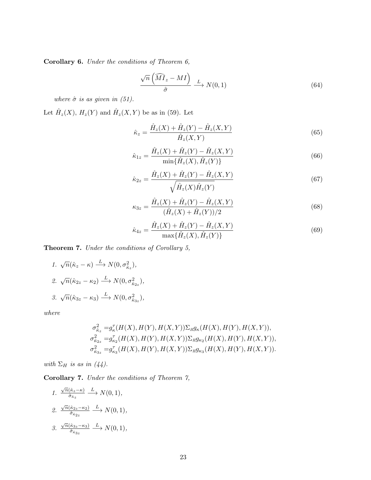Corollary 6. Under the conditions of Theorem 6,

$$
\frac{\sqrt{n}\left(\widehat{MI}_z - MI\right)}{\widehat{\sigma}} \xrightarrow{L} N(0, 1) \tag{64}
$$

where  $\hat{\sigma}$  is as given in (51).

Let  $\hat{H}_z(X), H_z(Y)$  and  $\hat{H}_z(X,Y)$  be as in (59). Let

$$
\hat{\kappa}_z = \frac{\hat{H}_z(X) + \hat{H}_z(Y) - \hat{H}_z(X, Y)}{\hat{H}_z(X, Y)}
$$
\n(65)

$$
\hat{\kappa}_{1z} = \frac{\hat{H}_z(X) + \hat{H}_z(Y) - \hat{H}_z(X, Y)}{\min{\{\hat{H}_z(X), \hat{H}_z(Y)\}}}
$$
(66)

$$
\hat{\kappa}_{2z} = \frac{\hat{H}_z(X) + \hat{H}_z(Y) - \hat{H}_z(X, Y)}{\sqrt{\hat{H}_z(X)\hat{H}_z(Y)}}
$$
(67)

$$
\kappa_{3z} = \frac{\hat{H}_z(X) + \hat{H}_z(Y) - \hat{H}_z(X,Y)}{(\hat{H}_z(X) + \hat{H}_z(Y))/2}
$$
(68)

$$
\hat{\kappa}_{4z} = \frac{\hat{H}_z(X) + \hat{H}_z(Y) - \hat{H}_z(X, Y)}{\max{\{\hat{H}_z(X), \hat{H}_z(Y)\}}}
$$
(69)

Theorem 7. Under the conditions of Corollary 5,

1.  $\sqrt{n}(\hat{\kappa}_z - \kappa) \stackrel{L}{\longrightarrow} N(0, \sigma_{\hat{\kappa}_z}^2),$ 2.  $\sqrt{n}(\hat{\kappa}_{2z} - \kappa_2) \stackrel{L}{\longrightarrow} N(0, \sigma_{\hat{\kappa}_{2z}}^2),$ 3.  $\sqrt{n}(\hat{\kappa}_{3z} - \kappa_3) \stackrel{L}{\longrightarrow} N(0, \sigma_{\hat{\kappa}_{3z}}^2),$ 

where

$$
\sigma_{\hat{\kappa}_z}^2 = g_{\kappa}^{\tau}(H(X), H(Y), H(X, Y)) \Sigma_{H} g_{\kappa}(H(X), H(Y), H(X, Y)),
$$
  
\n
$$
\sigma_{\hat{\kappa}_{2z}}^2 = g_{\kappa_2}^{\tau}(H(X), H(Y), H(X, Y)) \Sigma_{H} g_{\kappa_2}(H(X), H(Y), H(X, Y)),
$$
  
\n
$$
\sigma_{\hat{\kappa}_{3z}}^2 = g_{\kappa_3}^{\tau}(H(X), H(Y), H(X, Y)) \Sigma_{H} g_{\kappa_3}(H(X), H(Y), H(X, Y)).
$$

with  $\Sigma_H$  is as in (44).

Corollary 7. Under the conditions of Theorem 7,

1. 
$$
\frac{\sqrt{n}(\hat{\kappa}_z - \kappa)}{\hat{\sigma}_{\hat{\kappa}_z}} \xrightarrow{L} N(0, 1),
$$
  
2. 
$$
\frac{\sqrt{n}(\hat{\kappa}_{2z} - \kappa_2)}{\hat{\sigma}_{\hat{\kappa}_{2z}}} \xrightarrow{L} N(0, 1),
$$
  
3. 
$$
\frac{\sqrt{n}(\hat{\kappa}_{3z} - \kappa_3)}{\hat{\sigma}_{\hat{\kappa}_{3z}}} \xrightarrow{L} N(0, 1),
$$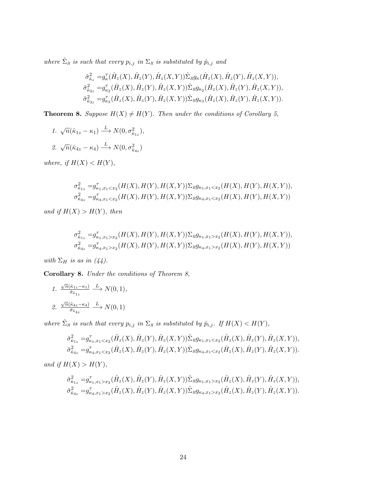where  $\hat{\Sigma}_H$  is such that every  $p_{i,j}$  in  $\Sigma_H$  is substituted by  $\hat{p}_{i,j}$  and

$$
\hat{\sigma}_{\hat{\kappa}_z}^2 = g_{\kappa}^{\tau}(\hat{H}_z(X), \hat{H}_z(Y), \hat{H}_z(X, Y)) \hat{\Sigma}_{H} g_{\kappa}(\hat{H}_z(X), \hat{H}_z(Y), \hat{H}_z(X, Y)), \n\hat{\sigma}_{\hat{\kappa}_{2z}}^2 = g_{\kappa_2}^{\tau}(\hat{H}_z(X), \hat{H}_z(Y), \hat{H}_z(X, Y)) \hat{\Sigma}_{H} g_{\kappa_2}(\hat{H}_z(X), \hat{H}_z(Y), \hat{H}_z(X, Y)), \n\hat{\sigma}_{\hat{\kappa}_{3z}}^2 = g_{\kappa_3}^{\tau}(\hat{H}_z(X), \hat{H}_z(Y), \hat{H}_z(X, Y)) \hat{\Sigma}_{H} g_{\kappa_3}(\hat{H}_z(X), \hat{H}_z(Y), \hat{H}_z(X, Y)).
$$

**Theorem 8.** Suppose  $H(X) \neq H(Y)$ . Then under the conditions of Corollary 5,

1. 
$$
\sqrt{n}(\hat{\kappa}_{1z} - \kappa_1) \xrightarrow{L} N(0, \sigma_{\hat{\kappa}_{1z}}^2),
$$
  
\n2.  $\sqrt{n}(\hat{\kappa}_{4z} - \kappa_4) \xrightarrow{L} N(0, \sigma_{\hat{\kappa}_{4z}}^2)$ 

where, if  $H(X) < H(Y)$ ,

$$
\sigma_{\hat{\kappa}_{1z}}^{2} = g_{\kappa_{1},x_{1} < x_{2}}^{T}(H(X),H(Y),H(X,Y))\Sigma_{H}g_{\kappa_{1},x_{1} < x_{2}}(H(X),H(Y),H(X,Y)),
$$
  

$$
\sigma_{\hat{\kappa}_{4z}}^{2} = g_{\kappa_{4},x_{1} < x_{2}}^{T}(H(X),H(Y),H(X,Y))\Sigma_{H}g_{\kappa_{4},x_{1} < x_{2}}(H(X),H(Y),H(X,Y))
$$

and if  $H(X) > H(Y)$ , then

$$
\sigma_{\hat{\kappa}_{1z}}^{2} = g_{\kappa_{1},x_{1} > x_{2}}^{T}(H(X),H(Y),H(X,Y))\Sigma_{H}g_{\kappa_{1},x_{1} > x_{2}}(H(X),H(Y),H(X,Y)),
$$
  

$$
\sigma_{\hat{\kappa}_{4z}}^{2} = g_{\kappa_{4},x_{1} > x_{2}}^{T}(H(X),H(Y),H(X,Y))\Sigma_{H}g_{\kappa_{4},x_{1} > x_{2}}(H(X),H(Y),H(X,Y))
$$

with  $\Sigma_H$  is as in (44).

Corollary 8. Under the conditions of Theorem 8,

1. 
$$
\frac{\sqrt{n}(\hat{\kappa}_{1z}-\kappa_{1})}{\hat{\sigma}_{\hat{\kappa}_{1z}}} \xrightarrow{L} N(0,1),
$$
  
2. 
$$
\frac{\sqrt{n}(\hat{\kappa}_{4z}-\kappa_{4})}{\hat{\sigma}_{\hat{\kappa}_{4z}}} \xrightarrow{L} N(0,1)
$$

where  $\hat{\Sigma}_H$  is such that every  $p_{i,j}$  in  $\Sigma_H$  is substituted by  $\hat{p}_{i,j}$ . If  $H(X) < H(Y)$ ,

$$
\hat{\sigma}_{\hat{\kappa}_{1z}}^{2} = g_{\kappa_{1},x_{1} < x_{2}}^{T}(\hat{H}_{z}(X),\hat{H}_{z}(Y),\hat{H}_{z}(X,Y))\hat{\Sigma}_{H}g_{\kappa_{1},x_{1} < x_{2}}(\hat{H}_{z}(X),\hat{H}_{z}(Y),\hat{H}_{z}(X,Y)),\hat{\sigma}_{\hat{\kappa}_{4z}}^{2} = g_{\kappa_{4},x_{1} < x_{2}}^{T}(\hat{H}_{z}(X),\hat{H}_{z}(Y),\hat{H}_{z}(X,Y))\hat{\Sigma}_{H}g_{\kappa_{4},x_{1} < x_{2}}(\hat{H}_{z}(X),\hat{H}_{z}(Y),\hat{H}_{z}(X,Y)).
$$

and if  $H(X) > H(Y)$ ,

$$
\hat{\sigma}_{\hat{\kappa}_{1z}}^{2} = g_{\kappa_{1},x_{1} > x_{2}}^{T}(\hat{H}_{z}(X), \hat{H}_{z}(Y), \hat{H}_{z}(X, Y)) \hat{\Sigma}_{H} g_{\kappa_{1},x_{1} > x_{2}}(\hat{H}_{z}(X), \hat{H}_{z}(Y), \hat{H}_{z}(X, Y)), \hat{\sigma}_{\hat{\kappa}_{4z}}^{2} = g_{\kappa_{4},x_{1} > x_{2}}^{T}(\hat{H}_{z}(X), \hat{H}_{z}(Y), \hat{H}_{z}(X, Y)) \hat{\Sigma}_{H} g_{\kappa_{4},x_{1} > x_{2}}(\hat{H}_{z}(X), \hat{H}_{z}(Y), \hat{H}_{z}(X, Y)).
$$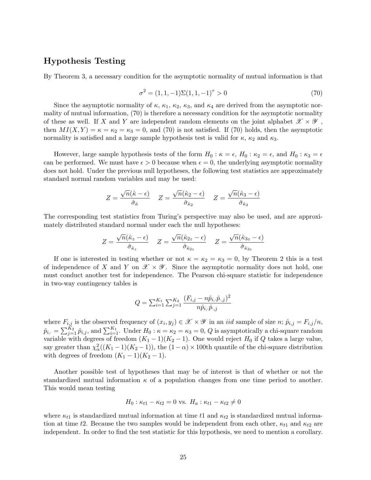## Hypothesis Testing

By Theorem 3, a necessary condition for the asymptotic normality of mutual information is that

$$
\sigma^2 = (1, 1, -1)\Sigma(1, 1, -1)^\tau > 0\tag{70}
$$

Since the asymptotic normality of  $\kappa$ ,  $\kappa_1$ ,  $\kappa_2$ ,  $\kappa_3$ , and  $\kappa_4$  are derived from the asymptotic normality of mutual information, (70) is therefore a necessary condition for the asymptotic normality of these as well. If X and Y are independent random elements on the joint alphabet  $\mathscr{X} \times \mathscr{Y}$ , then  $MI(X, Y) = \kappa = \kappa_2 = \kappa_3 = 0$ , and (70) is not satisfied. If (70) holds, then the asymptotic normality is satisfied and a large sample hypothesis test is valid for  $\kappa$ ,  $\kappa_2$  and  $\kappa_3$ .

However, large sample hypothesis tests of the form  $H_0 : \kappa = \epsilon$ ,  $H_0 : \kappa_2 = \epsilon$ , and  $H_0 : \kappa_3 = \epsilon$ can be performed. We must have  $\epsilon > 0$  because when  $\epsilon = 0$ , the underlying asymptotic normality does not hold. Under the previous null hypotheses, the following test statistics are approximately standard normal random variables and may be used:

$$
Z = \frac{\sqrt{n}(\hat{\kappa} - \epsilon)}{\hat{\sigma}_{\hat{\kappa}}} \quad Z = \frac{\sqrt{n}(\hat{\kappa}_2 - \epsilon)}{\hat{\sigma}_{\hat{\kappa}_2}} \quad Z = \frac{\sqrt{n}(\hat{\kappa}_3 - \epsilon)}{\hat{\sigma}_{\hat{\kappa}_3}}
$$

The corresponding test statistics from Turing's perspective may also be used, and are approximately distributed standard normal under each the null hypotheses:

$$
Z = \frac{\sqrt{n}(\hat{\kappa}_z - \epsilon)}{\hat{\sigma}_{\hat{\kappa}_z}} \quad Z = \frac{\sqrt{n}(\hat{\kappa}_{2z} - \epsilon)}{\hat{\sigma}_{\hat{\kappa}_{2z}}} \quad Z = \frac{\sqrt{n}(\hat{\kappa}_{3z} - \epsilon)}{\hat{\sigma}_{\hat{\kappa}_{3z}}}
$$

If one is interested in testing whether or not  $\kappa = \kappa_2 = \kappa_3 = 0$ , by Theorem 2 this is a test of independence of X and Y on  $\mathscr{X} \times \mathscr{Y}$ . Since the asymptotic normality does not hold, one must conduct another test for independence. The Pearson chi-square statistic for independence in two-way contingency tables is

$$
Q = \sum_{i=1}^{K_1} \sum_{j=1}^{K_2} \frac{(F_{i,j} - n\hat{p}_{i,\hat{p}_{\cdot,j}})^2}{n\hat{p}_{i,\hat{p}_{\cdot,j}}}
$$

where  $F_{i,j}$  is the observed frequency of  $(x_i, y_j) \in \mathcal{X} \times \mathcal{Y}$  in an *iid* sample of size  $n; \hat{p}_{i,j} = F_{i,j}/n$ ,  $\hat{p}_{i,\cdot} = \sum_{j=1}^{K_2} \hat{p}_{i,j}$ , and  $\sum_{i=1}^{K_1}$ . Under  $H_0: \kappa = \kappa_2 = \kappa_3 = 0$ , Q is asymptotically a chi-square random variable with degrees of freedom  $(K_1-1)(K_2-1)$ . One would reject  $H_0$  if Q takes a large value, say greater than  $\chi^2_{\alpha}((K_1-1)(K_2-1))$ , the  $(1-\alpha) \times 100$ th quantile of the chi-square distribution with degrees of freedom  $(K_1 - 1)(K_2 - 1)$ .

Another possible test of hypotheses that may be of interest is that of whether or not the standardized mutual information  $\kappa$  of a population changes from one time period to another. This would mean testing

$$
H_0: \kappa_{t1} - \kappa_{t2} = 0
$$
 vs. 
$$
H_a: \kappa_{t1} - \kappa_{t2} \neq 0
$$

where  $\kappa_{t1}$  is standardized mutual information at time t1 and  $\kappa_{t2}$  is standardized mutual information at time t2. Because the two samples would be independent from each other,  $\kappa_{t1}$  and  $\kappa_{t2}$  are independent. In order to find the test statistic for this hypothesis, we need to mention a corollary.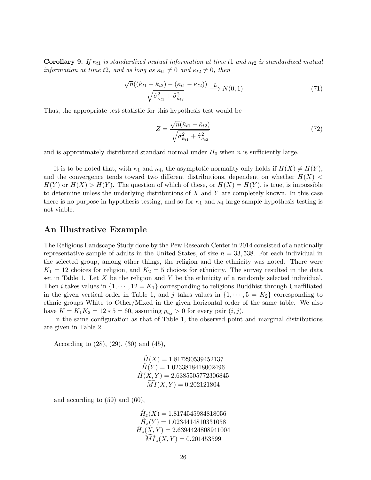**Corollary 9.** If  $\kappa_{t1}$  is standardized mutual information at time t1 and  $\kappa_{t2}$  is standardized mutual information at time t2, and as long as  $\kappa_{t1} \neq 0$  and  $\kappa_{t2} \neq 0$ , then

$$
\frac{\sqrt{n}((\hat{\kappa}_{t1} - \hat{\kappa}_{t2}) - (\kappa_{t1} - \kappa_{t2}))}{\sqrt{\hat{\sigma}_{\hat{\kappa}_{t1}}^2 + \hat{\sigma}_{\hat{\kappa}_{t2}}^2}} \xrightarrow{L} N(0, 1) \tag{71}
$$

Thus, the appropriate test statistic for this hypothesis test would be

$$
Z = \frac{\sqrt{n}(\hat{\kappa}_{t1} - \hat{\kappa}_{t2})}{\sqrt{\hat{\sigma}_{\hat{\kappa}_{t1}}^2 + \hat{\sigma}_{\hat{\kappa}_{t2}}^2}}
$$
(72)

and is approximately distributed standard normal under  $H_0$  when n is sufficiently large.

It is to be noted that, with  $\kappa_1$  and  $\kappa_4$ , the asymptotic normality only holds if  $H(X) \neq H(Y)$ , and the convergence tends toward two different distributions, dependent on whether  $H(X)$  $H(Y)$  or  $H(X) > H(Y)$ . The question of which of these, or  $H(X) = H(Y)$ , is true, is impossible to determine unless the underlying distributions of X and Y are completely known. In this case there is no purpose in hypothesis testing, and so for  $\kappa_1$  and  $\kappa_4$  large sample hypothesis testing is not viable.

#### An Illustrative Example

The Religious Landscape Study done by the Pew Research Center in 2014 consisted of a nationally representative sample of adults in the United States, of size  $n = 33,538$ . For each individual in the selected group, among other things, the religion and the ethnicity was noted. There were  $K_1 = 12$  choices for religion, and  $K_2 = 5$  choices for ethnicity. The survey resulted in the data set in Table 1. Let  $X$  be the religion and  $Y$  be the ethnicity of a randomly selected individual. Then *i* takes values in  $\{1, \dots, 12 = K_1\}$  corresponding to religions Buddhist through Unaffiliated in the given vertical order in Table 1, and j takes values in  $\{1, \dots, 5 = K_2\}$  corresponding to ethnic groups White to Other/Mixed in the given horizontal order of the same table. We also have  $K = K_1 K_2 = 12 * 5 = 60$ , assuming  $p_{i,j} > 0$  for every pair  $(i, j)$ .

In the same configuration as that of Table 1, the observed point and marginal distributions are given in Table 2.

According to (28), (29), (30) and (45),

 $\hat{H}(X) = 1.817290539452137$  $\hat{H}(Y) = 1.0233818418002496$  $\hat{H}(X,Y) = 2.6385505772306845$  $\widehat{MI}(X, Y) = 0.202121804$ 

and according to (59) and (60),

 $\hat{H}_z(X) = 1.8174545984818056$  $\hat{H}_z(Y) = 1.0234414810331058$  $\hat{H}_z(\overset{\circ}{X}, \overset{\circ}{Y}) = 2.6394424808941004$  $\widehat{MI}_z(X, Y) = 0.201453599$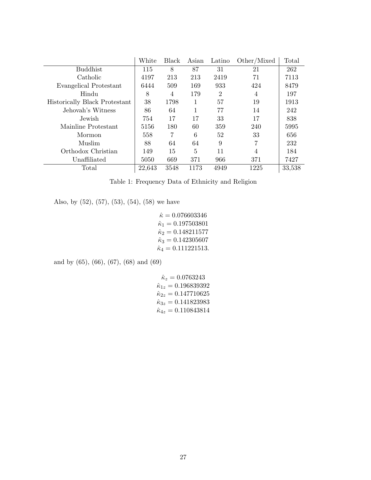|                                      | $\operatorname{White}$ | Black | Asian | Latino | Other/Mixed | Total  |
|--------------------------------------|------------------------|-------|-------|--------|-------------|--------|
| <b>Buddhist</b>                      | 115                    | 8     | 87    | 31     | 21          | 262    |
| Catholic                             | 4197                   | 213   | 213   | 2419   | 71          | 7113   |
| Evangelical Protestant               | 6444                   | 509   | 169   | 933    | 424         | 8479   |
| Hindu                                | 8                      | 4     | 179   | 2      | 4           | 197    |
| <b>Historically Black Protestant</b> | 38                     | 1798  |       | 57     | 19          | 1913   |
| Jehovah's Witness                    | 86                     | 64    |       | 77     | 14          | 242    |
| Jewish                               | 754                    | 17    | 17    | 33     | 17          | 838    |
| Mainline Protestant                  | 5156                   | 180   | 60    | 359    | 240         | 5995   |
| Mormon                               | 558                    | 7     | 6     | 52     | 33          | 656    |
| Muslim                               | 88                     | 64    | 64    | 9      |             | 232    |
| Orthodox Christian                   | 149                    | 15    | 5     | 11     | 4           | 184    |
| Unaffiliated                         | 5050                   | 669   | 371   | 966    | 371         | 7427   |
| Total                                | 22,643                 | 3548  | 1173  | 4949   | 1225        | 33,538 |

Table 1: Frequency Data of Ethnicity and Religion

Also, by (52), (57), (53), (54), (58) we have

 $\hat{\kappa}=0.076603346$  $\hat{\kappa}_1 = 0.197503801$  $\hat{\kappa}_2 = 0.148211577$  $\hat{\kappa}_3 = 0.142305607$  $\hat{\kappa}_4 = 0.111221513.$ 

and by (65), (66), (67), (68) and (69)

$$
\begin{array}{c} \hat{\kappa}_z = 0.0763243 \\ \hat{\kappa}_{1z} = 0.196839392 \\ \hat{\kappa}_{2z} = 0.147710625 \\ \hat{\kappa}_{3z} = 0.141823983 \\ \hat{\kappa}_{4z} = 0.110843814 \end{array}
$$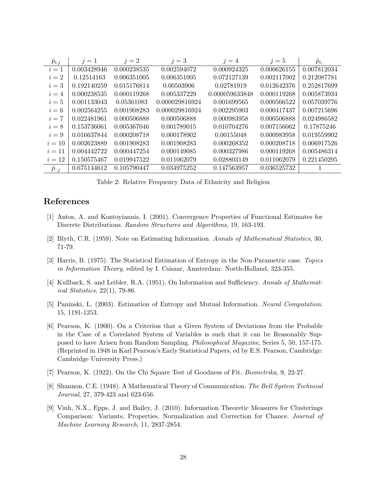| $\hat{p}_{i,j}$ | $j = 1$     | $i=2$       | $j=3$          | $j=4$          | $i=5$       | $p_{i,}.$   |
|-----------------|-------------|-------------|----------------|----------------|-------------|-------------|
| $i=1$           | 0.003428946 | 0.000238535 | 0.002594072    | 0.000924325    | 0.000626155 | 0.007812034 |
| $i=2$           | 0.12514163  | 0.006351005 | 0.006351005    | 0.072127139    | 0.002117002 | 0.212087781 |
| $i=3$           | 0.192140259 | 0.015176814 | 0.00503906     | 0.02781919     | 0.012642376 | 0.252817699 |
| $i=4$           | 0.000238535 | 0.000119268 | 0.005337229    | 0.000059633848 | 0.000119268 | 0.005873934 |
| $i=5$           | 0.001133043 | 0.05361083  | 0.000029816924 | 0.001699565    | 0.000566522 | 0.057039776 |
| $i=6$           | 0.002564255 | 0.001908283 | 0.000029816924 | 0.002295903    | 0.000417437 | 0.007215696 |
| $i=7$           | 0.022481961 | 0.000506888 | 0.000506888    | 0.000983958    | 0.000506888 | 0.024986582 |
| $i=8$           | 0.153736061 | 0.005367046 | 0.001789015    | 0.010704276    | 0.007156062 | 0.17875246  |
| $i=9$           | 0.016637844 | 0.000208718 | 0.000178902    | 0.00155048     | 0.000983958 | 0.019559902 |
| $i=10$          | 0.002623889 | 0.001908283 | 0.001908283    | 0.000268352    | 0.000208718 | 0.006917526 |
| $i=11$          | 0.004442722 | 0.000447254 | 0.000149085    | 0.000327986    | 0.000119268 | 0.005486314 |
| $i=12$          | 0.150575467 | 0.019947522 | 0.011062079    | 0.028803149    | 0.011062079 | 0.221450295 |
| $p_{\cdot,j}$   | 0.675144612 | 0.105790447 | 0.034975252    | 0.147563957    | 0.036525732 |             |

Table 2: Relative Frequency Data of Ethnicity and Religion

## References

- [1] Antos, A. and Kontoyiannis, I. (2001). Convergence Properties of Functional Estimates for Discrete Distributions. Random Structures and Algorithms, 19, 163-193.
- [2] Blyth, C.R. (1959). Note on Estimating Information. Annals of Mathematical Statistics, 30, 71-79.
- [3] Harris, B. (1975). The Statistical Estimation of Entropy in the Non-Parametric case. Topics in Information Theory, edited by I. Csiszar, Amsterdam: North-Holland, 323-355.
- [4] Kullback, S. and Leibler, R.A. (1951). On Information and Sufficiency. Annals of Mathematical Statistics, 22(1), 79-86.
- [5] Paninski, L. (2003). Estimation of Entropy and Mutual Information. Neural Computation. 15, 1191-1253.
- [6] Pearson, K. (1900). On a Criterion that a Given System of Deviations from the Probable in the Case of a Correlated System of Variables is such that it can be Reasonably Supposed to have Arisen from Random Sampling. Philosophical Magazine, Series 5, 50, 157-175. (Reprinted in 1948 in Karl Pearson's Early Statistical Papers, ed by E.S. Pearson, Cambridge: Cambridge University Press.)
- [7] Pearson, K. (1922). On the Chi Square Test of Goodness of Fit. Biometrika, 9, 22-27.
- [8] Shannon, C.E. (1948). A Mathematical Theory of Communication. The Bell System Technical Journal, 27, 379-423 and 623-656.
- [9] Vinh, N.X., Epps, J. and Bailey, J. (2010). Information Theoretic Measures for Clusterings Comparison: Variants, Properties, Normalization and Correction for Chance. Journal of Machine Learning Research, 11, 2837-2854.